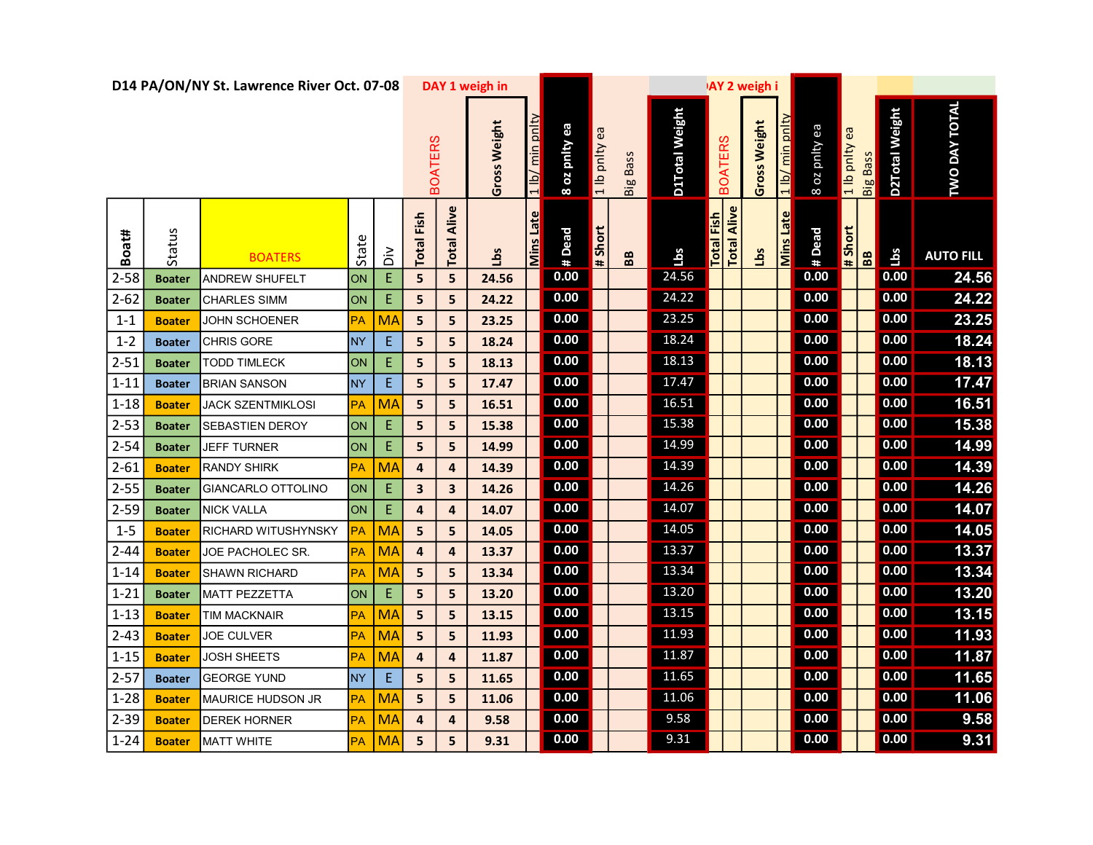|          |               | D14 PA/ON/NY St. Lawrence River Oct. 07-08 |           |                |                      |                | DAY 1 weigh in              |               |                  |                 |                | <b>AY 2 weigh i</b> |                   |                    |                                     |                  |               |                                                                      |                |                         |                  |  |
|----------|---------------|--------------------------------------------|-----------|----------------|----------------------|----------------|-----------------------------|---------------|------------------|-----------------|----------------|---------------------|-------------------|--------------------|-------------------------------------|------------------|---------------|----------------------------------------------------------------------|----------------|-------------------------|------------------|--|
|          |               |                                            |           | <b>BOATERS</b> |                      | Gross Weight   | min pnlty<br>$\frac{1}{10}$ | 8 oz pnity ea | ea<br>1 lb pnlty | <b>Big Bass</b> | D1Total Weight |                     | <b>BOATERS</b>    | Gross Weight       | min pn<br>$\frac{1}{\vert b \vert}$ | 8 oz pnlty ea    | a lo pnity ea | <b>Big Bass</b>                                                      | D2Total Weight | DAY TOTAL<br><b>DWO</b> |                  |  |
| Boat#    | Status        | <b>BOATERS</b>                             | State     | $\frac{2}{5}$  | Fish<br><b>Total</b> | Alive<br>Total | <b>SqT</b>                  | Mins Late     | # Dead           | # Short         | BB             | <b>SqT</b>          | <b>Total Fish</b> | <b>Total Alive</b> | <u>Sq</u>                           | <b>Mins Late</b> | #Dead         | $\begin{array}{c}\n\text{# Short} \\ \hline\n\text{IB}\n\end{array}$ |                | Lbs                     | <b>AUTO FILL</b> |  |
| $2 - 58$ | <b>Boater</b> | ANDREW SHUFELT                             | ON        | E              | 5                    | 5              | 24.56                       |               | 0.00             |                 |                | 24.56               |                   |                    |                                     |                  | 0.00          |                                                                      |                | 0.00                    | 24.56            |  |
| $2 - 62$ | <b>Boater</b> | <b>CHARLES SIMM</b>                        | ON        | $\mathsf E$    | 5                    | 5              | 24.22                       |               | 0.00             |                 |                | 24.22               |                   |                    |                                     |                  | 0.00          |                                                                      |                | 0.00                    | 24.22            |  |
| $1 - 1$  | <b>Boater</b> | JOHN SCHOENER                              | PA        | <b>MA</b>      | 5                    | 5              | 23.25                       |               | 0.00             |                 |                | 23.25               |                   |                    |                                     |                  | 0.00          |                                                                      |                | 0.00                    | 23.25            |  |
| $1 - 2$  | <b>Boater</b> | <b>CHRIS GORE</b>                          | <b>NY</b> | $\mathsf E$    | 5                    | 5              | 18.24                       |               | 0.00             |                 |                | 18.24               |                   |                    |                                     |                  | 0.00          |                                                                      |                | 0.00                    | 18.24            |  |
| $2 - 51$ | <b>Boater</b> | TODD TIMLECK                               | ON        | $\mathsf E$    | 5                    | 5              | 18.13                       |               | 0.00             |                 |                | 18.13               |                   |                    |                                     |                  | 0.00          |                                                                      |                | 0.00                    | 18.13            |  |
| $1 - 11$ | <b>Boater</b> | <b>BRIAN SANSON</b>                        | <b>NY</b> | E              | 5                    | 5              | 17.47                       |               | 0.00             |                 |                | 17.47               |                   |                    |                                     |                  | 0.00          |                                                                      |                | 0.00                    | 17.47            |  |
| $1 - 18$ | <b>Boater</b> | <b>JACK SZENTMIKLOSI</b>                   | PA        | MA             | 5                    | 5              | 16.51                       |               | 0.00             |                 |                | 16.51               |                   |                    |                                     |                  | 0.00          |                                                                      |                | 0.00                    | 16.51            |  |
| $2 - 53$ | <b>Boater</b> | <b>SEBASTIEN DEROY</b>                     | ON        | $\mathsf E$    | 5                    | 5              | 15.38                       |               | 0.00             |                 |                | 15.38               |                   |                    |                                     |                  | 0.00          |                                                                      |                | 0.00                    | 15.38            |  |
| $2 - 54$ | <b>Boater</b> | <b>JEFF TURNER</b>                         | ON        | E              | 5                    | 5              | 14.99                       |               | 0.00             |                 |                | 14.99               |                   |                    |                                     |                  | 0.00          |                                                                      |                | 0.00                    | 14.99            |  |
| $2 - 61$ | <b>Boater</b> | <b>RANDY SHIRK</b>                         | РA        | <b>MA</b>      | 4                    | 4              | 14.39                       |               | 0.00             |                 |                | 14.39               |                   |                    |                                     |                  | 0.00          |                                                                      |                | 0.00                    | 14.39            |  |
| $2 - 55$ | <b>Boater</b> | <b>GIANCARLO OTTOLINO</b>                  | ON        | $\mathsf E$    | 3                    | 3              | 14.26                       |               | 0.00             |                 |                | 14.26               |                   |                    |                                     |                  | 0.00          |                                                                      |                | 0.00                    | 14.26            |  |
| $2 - 59$ | <b>Boater</b> | <b>NICK VALLA</b>                          | ON        | Ε              | 4                    | 4              | 14.07                       |               | 0.00             |                 |                | 14.07               |                   |                    |                                     |                  | 0.00          |                                                                      |                | 0.00                    | 14.07            |  |
| $1 - 5$  | <b>Boater</b> | <b>RICHARD WITUSHYNSKY</b>                 | PA        | <b>MA</b>      | 5                    | 5              | 14.05                       |               | 0.00             |                 |                | 14.05               |                   |                    |                                     |                  | 0.00          |                                                                      |                | 0.00                    | 14.05            |  |
| $2 - 44$ | <b>Boater</b> | JOE PACHOLEC SR.                           | PA        | <b>MA</b>      | 4                    | 4              | 13.37                       |               | 0.00             |                 |                | 13.37               |                   |                    |                                     |                  | 0.00          |                                                                      |                | 0.00                    | 13.37            |  |
| $1 - 14$ | <b>Boater</b> | <b>SHAWN RICHARD</b>                       | PА        | <b>MA</b>      | 5                    | 5              | 13.34                       |               | 0.00             |                 |                | 13.34               |                   |                    |                                     |                  | 0.00          |                                                                      |                | 0.00                    | 13.34            |  |
| $1 - 21$ | <b>Boater</b> | MATT PEZZETTA                              | ON        | Ε              | 5                    | 5              | 13.20                       |               | 0.00             |                 |                | 13.20               |                   |                    |                                     |                  | 0.00          |                                                                      |                | 0.00                    | 13.20            |  |
| $1 - 13$ | <b>Boater</b> | TIM MACKNAIR                               | PA        | <b>MA</b>      | 5                    | 5              | 13.15                       |               | 0.00             |                 |                | 13.15               |                   |                    |                                     |                  | 0.00          |                                                                      |                | 0.00                    | 13.15            |  |
| $2 - 43$ | <b>Boater</b> | <b>JOE CULVER</b>                          | PA        | <b>MA</b>      | 5                    | 5              | 11.93                       |               | 0.00             |                 |                | 11.93               |                   |                    |                                     |                  | 0.00          |                                                                      |                | 0.00                    | 11.93            |  |
| $1 - 15$ | <b>Boater</b> | <b>JOSH SHEETS</b>                         | PA        | <b>MA</b>      | $\boldsymbol{4}$     | 4              | 11.87                       |               | 0.00             |                 |                | 11.87               |                   |                    |                                     |                  | 0.00          |                                                                      |                | 0.00                    | 11.87            |  |
| $2 - 57$ | <b>Boater</b> | <b>GEORGE YUND</b>                         | <b>NY</b> | $\mathsf E$    | 5                    | 5              | 11.65                       |               | 0.00             |                 |                | 11.65               |                   |                    |                                     |                  | 0.00          |                                                                      |                | 0.00                    | 11.65            |  |
| $1 - 28$ | <b>Boater</b> | MAURICE HUDSON JR                          | PA        | <b>MA</b>      | 5                    | 5              | 11.06                       |               | 0.00             |                 |                | 11.06               |                   |                    |                                     |                  | 0.00          |                                                                      |                | 0.00                    | 11.06            |  |
| $2 - 39$ | <b>Boater</b> | <b>DEREK HORNER</b>                        | PA        | <b>MA</b>      | 4                    | 4              | 9.58                        |               | 0.00             |                 |                | 9.58                |                   |                    |                                     |                  | 0.00          |                                                                      |                | 0.00                    | 9.58             |  |
| $1 - 24$ | <b>Boater</b> | <b>MATT WHITE</b>                          | PA        | <b>MA</b>      | 5                    | 5              | 9.31                        |               | 0.00             |                 |                | 9.31                |                   |                    |                                     |                  | 0.00          |                                                                      |                | 0.00                    | 9.31             |  |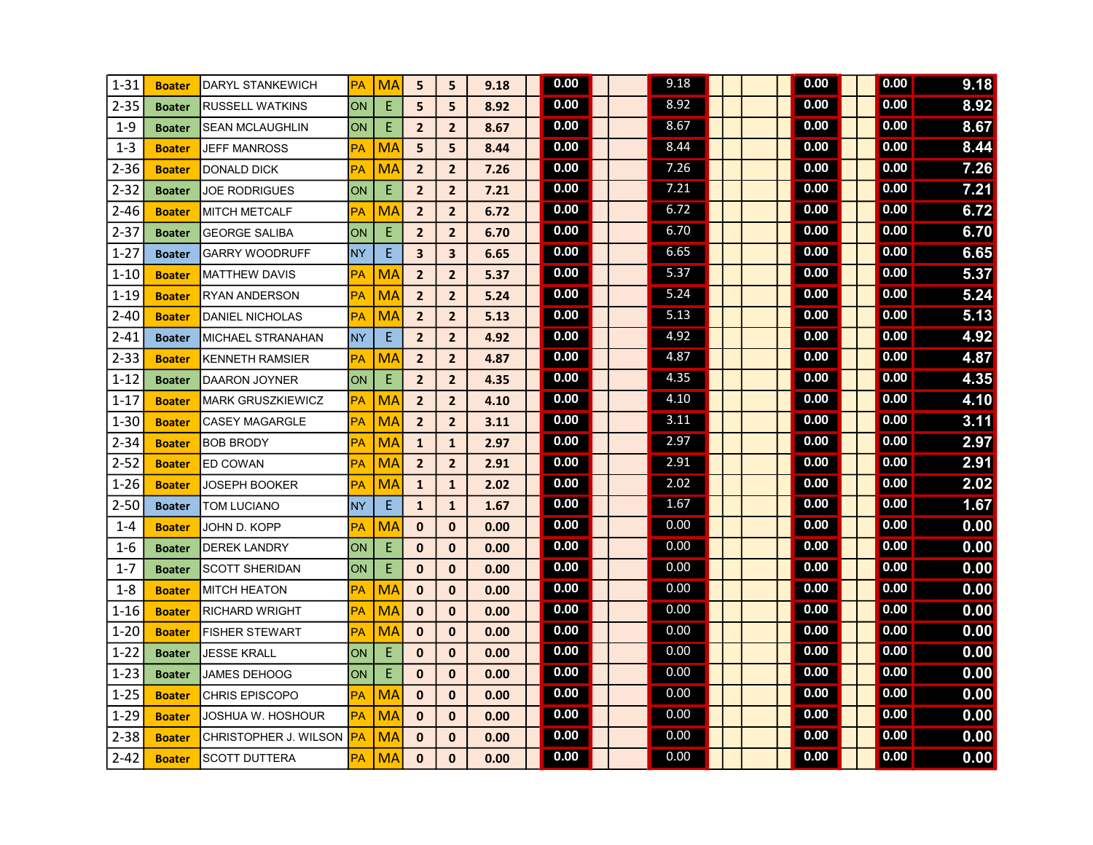| $1 - 31$ | <b>Boater</b> | DARYL STANKEWICH         | <b>PA</b> | <b>MA</b> | 5                       | 5                       | 9.18 | 0.00 |  | 9.18 |  |  | 0.00 |  | 0.00 | 9.18 |
|----------|---------------|--------------------------|-----------|-----------|-------------------------|-------------------------|------|------|--|------|--|--|------|--|------|------|
| $2 - 35$ | <b>Boater</b> | <b>RUSSELL WATKINS</b>   | ON        | E         | 5                       | 5                       | 8.92 | 0.00 |  | 8.92 |  |  | 0.00 |  | 0.00 | 8.92 |
| $1 - 9$  | <b>Boater</b> | <b>SEAN MCLAUGHLIN</b>   | ON        | E         | $\overline{2}$          | $\overline{2}$          | 8.67 | 0.00 |  | 8.67 |  |  | 0.00 |  | 0.00 | 8.67 |
| $1 - 3$  | <b>Boater</b> | <b>JEFF MANROSS</b>      | <b>PA</b> | <b>MA</b> | 5                       | 5                       | 8.44 | 0.00 |  | 8.44 |  |  | 0.00 |  | 0.00 | 8.44 |
| $2 - 36$ | <b>Boater</b> | <b>DONALD DICK</b>       | PA        | MA        | $\overline{2}$          | $\overline{2}$          | 7.26 | 0.00 |  | 7.26 |  |  | 0.00 |  | 0.00 | 7.26 |
| $2 - 32$ | <b>Boater</b> | <b>JOE RODRIGUES</b>     | ON        | E         | $\overline{2}$          | $\overline{2}$          | 7.21 | 0.00 |  | 7.21 |  |  | 0.00 |  | 0.00 | 7.21 |
| $2 - 46$ | <b>Boater</b> | <b>MITCH METCALF</b>     | PA        | MA        | $\overline{2}$          | $\overline{2}$          | 6.72 | 0.00 |  | 6.72 |  |  | 0.00 |  | 0.00 | 6.72 |
| $2 - 37$ | <b>Boater</b> | <b>GEORGE SALIBA</b>     | ON        | E         | $\overline{2}$          | $\overline{2}$          | 6.70 | 0.00 |  | 6.70 |  |  | 0.00 |  | 0.00 | 6.70 |
| $1 - 27$ | <b>Boater</b> | <b>GARRY WOODRUFF</b>    | <b>NY</b> | E         | $\overline{\mathbf{3}}$ | $\overline{\mathbf{3}}$ | 6.65 | 0.00 |  | 6.65 |  |  | 0.00 |  | 0.00 | 6.65 |
| $1 - 10$ | <b>Boater</b> | <b>MATTHEW DAVIS</b>     | PA        | <b>MA</b> | $\overline{2}$          | $\overline{2}$          | 5.37 | 0.00 |  | 5.37 |  |  | 0.00 |  | 0.00 | 5.37 |
| $1 - 19$ | <b>Boater</b> | <b>RYAN ANDERSON</b>     | <b>PA</b> | <b>MA</b> | $\overline{2}$          | $\overline{2}$          | 5.24 | 0.00 |  | 5.24 |  |  | 0.00 |  | 0.00 | 5.24 |
| $2 - 40$ | <b>Boater</b> | <b>DANIEL NICHOLAS</b>   | PA        | <b>MA</b> | $\overline{2}$          | $\overline{2}$          | 5.13 | 0.00 |  | 5.13 |  |  | 0.00 |  | 0.00 | 5.13 |
| $2 - 41$ | <b>Boater</b> | MICHAEL STRANAHAN        | <b>NY</b> | E.        | $\overline{\mathbf{2}}$ | $\overline{2}$          | 4.92 | 0.00 |  | 4.92 |  |  | 0.00 |  | 0.00 | 4.92 |
| $2 - 33$ | <b>Boater</b> | <b>KENNETH RAMSIER</b>   | <b>PA</b> | MA        | $\overline{2}$          | $\overline{2}$          | 4.87 | 0.00 |  | 4.87 |  |  | 0.00 |  | 0.00 | 4.87 |
| $1 - 12$ | <b>Boater</b> | <b>DAARON JOYNER</b>     | ON        | E         | $\overline{2}$          | $\overline{2}$          | 4.35 | 0.00 |  | 4.35 |  |  | 0.00 |  | 0.00 | 4.35 |
| $1 - 17$ | <b>Boater</b> | <b>MARK GRUSZKIEWICZ</b> | PA        | MA        | $\overline{2}$          | $\overline{2}$          | 4.10 | 0.00 |  | 4.10 |  |  | 0.00 |  | 0.00 | 4.10 |
| $1 - 30$ | <b>Boater</b> | <b>CASEY MAGARGLE</b>    | PA        | <b>MA</b> | $\overline{2}$          | $\overline{2}$          | 3.11 | 0.00 |  | 3.11 |  |  | 0.00 |  | 0.00 | 3.11 |
| $2 - 34$ | <b>Boater</b> | <b>BOB BRODY</b>         | PA        | <b>MA</b> | $\mathbf{1}$            | $\mathbf{1}$            | 2.97 | 0.00 |  | 2.97 |  |  | 0.00 |  | 0.00 | 2.97 |
| $2 - 52$ | <b>Boater</b> | ED COWAN                 | PA        | <b>MA</b> | $\overline{2}$          | $\overline{2}$          | 2.91 | 0.00 |  | 2.91 |  |  | 0.00 |  | 0.00 | 2.91 |
| $1 - 26$ | <b>Boater</b> | <b>JOSEPH BOOKER</b>     | PA        | <b>MA</b> | $\mathbf{1}$            | $\mathbf{1}$            | 2.02 | 0.00 |  | 2.02 |  |  | 0.00 |  | 0.00 | 2.02 |
| $2 - 50$ | <b>Boater</b> | TOM LUCIANO              | <b>NY</b> | E         | $\mathbf{1}$            | $\mathbf{1}$            | 1.67 | 0.00 |  | 1.67 |  |  | 0.00 |  | 0.00 | 1.67 |
| $1 - 4$  | <b>Boater</b> | JOHN D. KOPP             | PA        | MA        | $\mathbf 0$             | $\mathbf{0}$            | 0.00 | 0.00 |  | 0.00 |  |  | 0.00 |  | 0.00 | 0.00 |
| $1-6$    | <b>Boater</b> | <b>DEREK LANDRY</b>      | ON        | E         | $\mathbf{0}$            | $\mathbf{0}$            | 0.00 | 0.00 |  | 0.00 |  |  | 0.00 |  | 0.00 | 0.00 |
| $1 - 7$  | <b>Boater</b> | <b>SCOTT SHERIDAN</b>    | ON        | E         | $\mathbf 0$             | $\mathbf{0}$            | 0.00 | 0.00 |  | 0.00 |  |  | 0.00 |  | 0.00 | 0.00 |
| $1 - 8$  | <b>Boater</b> | <b>MITCH HEATON</b>      | <b>PA</b> | <b>MA</b> | $\mathbf{0}$            | $\mathbf{0}$            | 0.00 | 0.00 |  | 0.00 |  |  | 0.00 |  | 0.00 | 0.00 |
| $1 - 16$ | <b>Boater</b> | <b>RICHARD WRIGHT</b>    | PA        | <b>MA</b> | $\mathbf 0$             | $\mathbf{0}$            | 0.00 | 0.00 |  | 0.00 |  |  | 0.00 |  | 0.00 | 0.00 |
| $1 - 20$ | <b>Boater</b> | <b>FISHER STEWART</b>    | PA        | <b>MA</b> | $\mathbf{0}$            | $\mathbf{0}$            | 0.00 | 0.00 |  | 0.00 |  |  | 0.00 |  | 0.00 | 0.00 |
| $1 - 22$ | <b>Boater</b> | JESSE KRALL              | <b>ON</b> | E         | $\mathbf{0}$            | $\bf{0}$                | 0.00 | 0.00 |  | 0.00 |  |  | 0.00 |  | 0.00 | 0.00 |
| $1 - 23$ | <b>Boater</b> | <b>JAMES DEHOOG</b>      | ON        | E         | $\mathbf{0}$            | $\mathbf{0}$            | 0.00 | 0.00 |  | 0.00 |  |  | 0.00 |  | 0.00 | 0.00 |
| $1 - 25$ | <b>Boater</b> | <b>CHRIS EPISCOPO</b>    | <b>PA</b> | MA        | $\mathbf{0}$            | $\mathbf{0}$            | 0.00 | 0.00 |  | 0.00 |  |  | 0.00 |  | 0.00 | 0.00 |
| $1 - 29$ | <b>Boater</b> | <b>JOSHUA W. HOSHOUR</b> | <b>PA</b> | MA        | $\mathbf{0}$            | $\mathbf{0}$            | 0.00 | 0.00 |  | 0.00 |  |  | 0.00 |  | 0.00 | 0.00 |
| $2 - 38$ | <b>Boater</b> | CHRISTOPHER J. WILSON FA |           | <b>MA</b> | $\mathbf{0}$            | $\bf{0}$                | 0.00 | 0.00 |  | 0.00 |  |  | 0.00 |  | 0.00 | 0.00 |
| $2 - 42$ | <b>Boater</b> | <b>SCOTT DUTTERA</b>     | PA        | <b>MA</b> | $\mathbf{0}$            | $\mathbf{0}$            | 0.00 | 0.00 |  | 0.00 |  |  | 0.00 |  | 0.00 | 0.00 |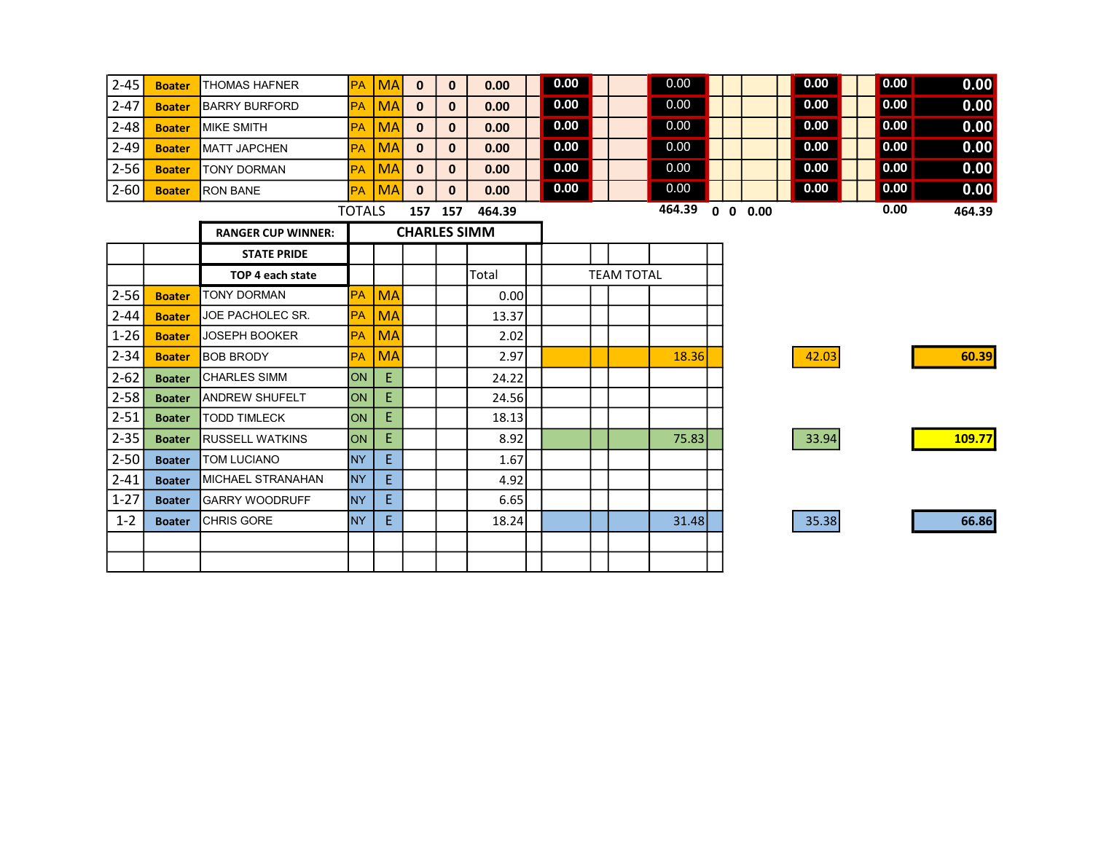| $2 - 45$ | <b>Boater</b> | <b>THOMAS HAFNER</b>      | <b>PA</b>     | <b>MA</b> | $\mathbf{0}$        | $\mathbf{0}$ | 0.00   | 0.00 |                   | 0.00   |                | 0.00  | 0.00 | 0.00   |
|----------|---------------|---------------------------|---------------|-----------|---------------------|--------------|--------|------|-------------------|--------|----------------|-------|------|--------|
| $2 - 47$ | <b>Boater</b> | <b>BARRY BURFORD</b>      | <b>PA</b>     | <b>MA</b> | $\mathbf{0}$        | 0            | 0.00   | 0.00 |                   | 0.00   |                | 0.00  | 0.00 | 0.00   |
| $2 - 48$ | <b>Boater</b> | <b>MIKE SMITH</b>         | <b>PA</b>     | <b>MA</b> | $\mathbf 0$         | $\mathbf{0}$ | 0.00   | 0.00 |                   | 0.00   |                | 0.00  | 0.00 | 0.00   |
| $2 - 49$ | <b>Boater</b> | <b>MATT JAPCHEN</b>       | <b>PA</b>     | <b>MA</b> | $\mathbf{0}$        | $\mathbf{0}$ | 0.00   | 0.00 |                   | 0.00   |                | 0.00  | 0.00 | 0.00   |
| $2 - 56$ | <b>Boater</b> | <b>TONY DORMAN</b>        | PA            | <b>MA</b> | $\mathbf 0$         | $\mathbf{0}$ | 0.00   | 0.00 |                   | 0.00   |                | 0.00  | 0.00 | 0.00   |
| $2 - 60$ | <b>Boater</b> | <b>RON BANE</b>           | <b>PA</b>     | <b>MA</b> | $\mathbf{0}$        | $\mathbf{0}$ | 0.00   | 0.00 |                   | 0.00   |                | 0.00  | 0.00 | 0.00   |
|          |               |                           | <b>TOTALS</b> |           |                     | 157 157      | 464.39 |      |                   | 464.39 | $0 \t0 \t0.00$ |       | 0.00 | 464.39 |
|          |               | <b>RANGER CUP WINNER:</b> |               |           | <b>CHARLES SIMM</b> |              |        |      |                   |        |                |       |      |        |
|          |               | <b>STATE PRIDE</b>        |               |           |                     |              |        |      |                   |        |                |       |      |        |
|          |               | TOP 4 each state          |               |           |                     |              | Total  |      | <b>TEAM TOTAL</b> |        |                |       |      |        |
| $2 - 56$ | <b>Boater</b> | <b>TONY DORMAN</b>        | <b>PA</b>     | <b>MA</b> |                     |              | 0.001  |      |                   |        |                |       |      |        |
| $2 - 44$ | <b>Boater</b> | JOE PACHOLEC SR.          | <b>PA</b>     | <b>MA</b> |                     |              | 13.37  |      |                   |        |                |       |      |        |
| $1 - 26$ | <b>Boater</b> | <b>JOSEPH BOOKER</b>      | <b>PA</b>     | <b>MA</b> |                     |              | 2.02   |      |                   |        |                |       |      |        |
| $2 - 34$ | <b>Boater</b> | <b>BOB BRODY</b>          | <b>PA</b>     | <b>MA</b> |                     |              | 2.97   |      |                   | 18.36  |                | 42.03 |      | 60.39  |
| $2 - 62$ | <b>Boater</b> | <b>CHARLES SIMM</b>       | lon           | E.        |                     |              | 24.22  |      |                   |        |                |       |      |        |
| $2 - 58$ | <b>Boater</b> | <b>ANDREW SHUFELT</b>     | ION           | E.        |                     |              | 24.56  |      |                   |        |                |       |      |        |
| $2 - 51$ | <b>Boater</b> | <b>TODD TIMLECK</b>       | <b>ON</b>     | E.        |                     |              | 18.13  |      |                   |        |                |       |      |        |
| $2 - 35$ | <b>Boater</b> | <b>RUSSELL WATKINS</b>    | lon           | E.        |                     |              | 8.92   |      |                   | 75.83  |                | 33.94 |      | 109.77 |
| $2 - 50$ | <b>Boater</b> | <b>TOM LUCIANO</b>        | <b>NY</b>     | E.        |                     |              | 1.67   |      |                   |        |                |       |      |        |
| $2 - 41$ | <b>Boater</b> | <b>MICHAEL STRANAHAN</b>  | <b>NY</b>     | E.        |                     |              | 4.92   |      |                   |        |                |       |      |        |
| $1 - 27$ | <b>Boater</b> | <b>IGARRY WOODRUFF</b>    | <b>NY</b>     | E.        |                     |              | 6.65   |      |                   |        |                |       |      |        |
| $1 - 2$  | <b>Boater</b> | <b>CHRIS GORE</b>         | <b>NY</b>     | E.        |                     |              | 18.24  |      |                   | 31.48  |                | 35.38 |      | 66.86  |
|          |               |                           |               |           |                     |              |        |      |                   |        |                |       |      |        |
|          |               |                           |               |           |                     |              |        |      |                   |        |                |       |      |        |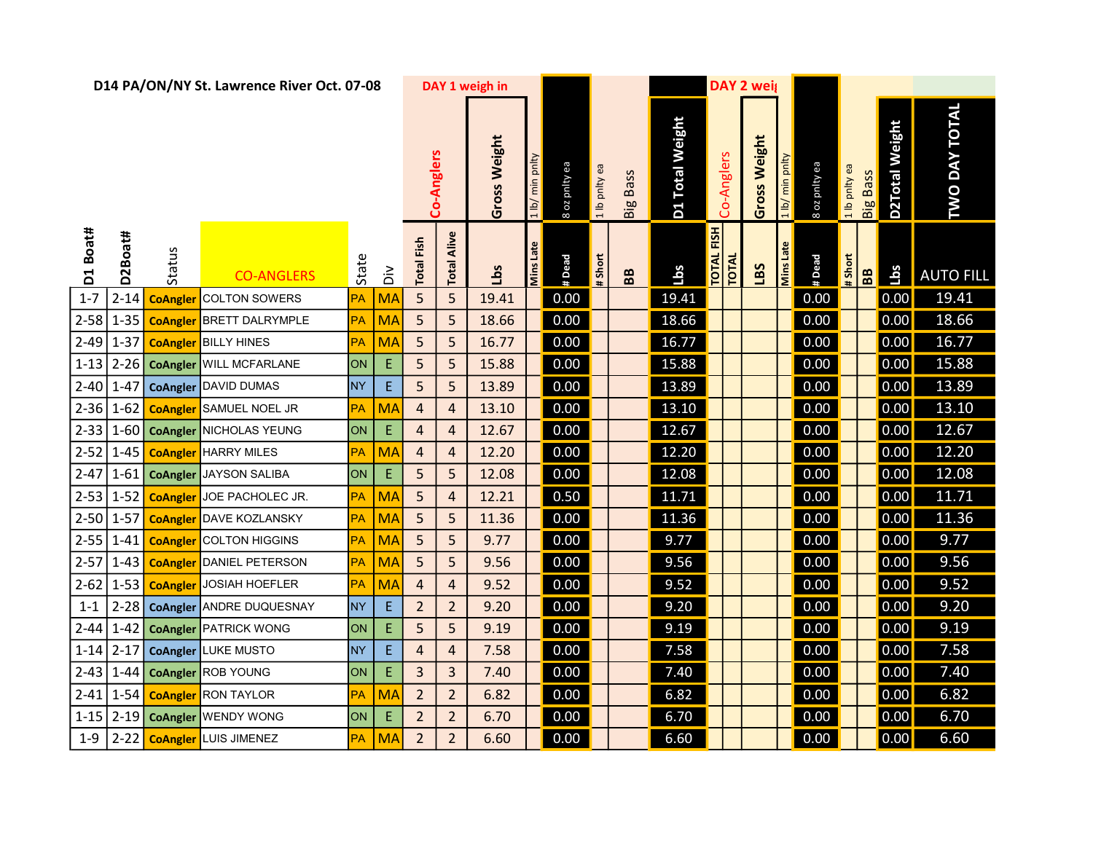| D14 PA/ON/NY St. Lawrence River Oct. 07-08 |                 |                    |                                          |                |                   |                   |                | DAY 1 weigh in               |                  |               |                 |                 |            | <b>DAY 2 weig</b>          |                 |               |               |          |                |                      |                  |
|--------------------------------------------|-----------------|--------------------|------------------------------------------|----------------|-------------------|-------------------|----------------|------------------------------|------------------|---------------|-----------------|-----------------|------------|----------------------------|-----------------|---------------|---------------|----------|----------------|----------------------|------------------|
|                                            |                 |                    |                                          |                | Co-Anglers        |                   | Gross Weight   | min pnlty<br>1 <sub>lb</sub> | 8 oz pnity ea    | 1 lb pnlty ea | <b>Big Bass</b> | D1 Total Weight | Co-Anglers | Gross Weight               | 1 lb/ min pnlty | 8 oz pnity ea | 1 lb pnlty ea | Big Bass | D2Total Weight | <b>TWO DAY TOTAL</b> |                  |
| D1 Boat#                                   | D2Boat#         | Status             | <b>CO-ANGLERS</b>                        | State          | $\dot{\tilde{a}}$ | <b>Total Fish</b> | Alive<br>Total | <b>Lbs</b>                   | <b>Mins Late</b> | # Dead        | # Short         | BB              | sqq        | TOTAL FISH<br><b>TOTAL</b> | LBS             | Mins Late     | # Dead        | # Short  | B <sub>B</sub> | 14s                  | <b>AUTO FILL</b> |
| $1 - 7$                                    |                 | 2-14 CoAngler      | <b>COLTON SOWERS</b>                     | PA             | <b>MA</b>         | 5                 | 5              | 19.41                        |                  | 0.00          |                 |                 | 19.41      |                            |                 |               | 0.00          |          |                | 0.00                 | 19.41            |
|                                            |                 | 2-58 1-35 CoAngler | <b>BRETT DALRYMPLE</b>                   | PA             | <b>MA</b>         | 5                 | 5              | 18.66                        |                  | 0.00          |                 |                 | 18.66      |                            |                 |               | 0.00          |          |                | 0.00                 | 18.66            |
| $2-49$ 1-37                                |                 |                    | <b>CoAngler</b> BILLY HINES              | PA             | <b>MA</b>         | 5                 | 5              | 16.77                        |                  | 0.00          |                 |                 | 16.77      |                            |                 |               | 0.00          |          |                | 0.00                 | 16.77            |
|                                            |                 |                    | 1-13 2-26 CoAngler WILL MCFARLANE        | ON             | E                 | 5                 | 5              | 15.88                        |                  | 0.00          |                 |                 | 15.88      |                            |                 |               | 0.00          |          |                | 0.00                 | 15.88            |
| $2 - 40$ 1-47                              |                 |                    | <b>CoAngler</b> DAVID DUMAS              | N <sub>Y</sub> | E                 | 5                 | 5              | 13.89                        |                  | 0.00          |                 |                 | 13.89      |                            |                 |               | 0.00          |          |                | 0.00                 | 13.89            |
|                                            | $2 - 36$ 1 - 62 | <b>CoAngler</b>    | SAMUEL NOEL JR                           | PA             | <b>MA</b>         | $\overline{4}$    | $\overline{4}$ | 13.10                        |                  | 0.00          |                 |                 | 13.10      |                            |                 |               | 0.00          |          |                | 0.00                 | 13.10            |
|                                            |                 |                    | 2-33 1-60 <b>CoAngler</b> NICHOLAS YEUNG | ON             | E                 | $\overline{4}$    | 4              | 12.67                        |                  | 0.00          |                 |                 | 12.67      |                            |                 |               | 0.00          |          |                | 0.00                 | 12.67            |
|                                            |                 |                    | 2-52 1-45 CoAngler HARRY MILES           | PA             | <b>MA</b>         | $\overline{4}$    | $\overline{4}$ | 12.20                        |                  | 0.00          |                 |                 | 12.20      |                            |                 |               | 0.00          |          |                | 0.00                 | 12.20            |
| $2-47$ 1-61                                |                 |                    | <b>CoAngler JAYSON SALIBA</b>            | ON             | E                 | 5                 | 5              | 12.08                        |                  | 0.00          |                 |                 | 12.08      |                            |                 |               | 0.00          |          |                | 0.00                 | 12.08            |
|                                            | $2-53$ 1-52     |                    | CoAngler JOE PACHOLEC JR.                | PA             | <b>MA</b>         | 5                 | $\overline{4}$ | 12.21                        |                  | 0.50          |                 |                 | 11.71      |                            |                 |               | 0.00          |          |                | 0.00                 | 11.71            |
| $2 - 50$ 1-57                              |                 | <b>CoAngler</b>    | DAVE KOZLANSKY                           | <b>PA</b>      | <b>MA</b>         | 5                 | 5              | 11.36                        |                  | 0.00          |                 |                 | 11.36      |                            |                 |               | 0.00          |          |                | 0.00                 | 11.36            |
|                                            | $2 - 55$ 1-41   | <b>CoAngler</b>    | <b>COLTON HIGGINS</b>                    | PA             | <b>MA</b>         | 5                 | 5              | 9.77                         |                  | 0.00          |                 |                 | 9.77       |                            |                 |               | 0.00          |          |                | 0.00                 | 9.77             |
| $2-57$ 1-43                                |                 | <b>CoAngler</b>    | DANIEL PETERSON                          | PA             | <b>MA</b>         | 5                 | 5              | 9.56                         |                  | 0.00          |                 |                 | 9.56       |                            |                 |               | 0.00          |          |                | 0.00                 | 9.56             |
|                                            | $2-62$ 1-53     |                    | <b>CoAngler</b> JOSIAH HOEFLER           | PA             | <b>MA</b>         | $\overline{4}$    | $\overline{4}$ | 9.52                         |                  | 0.00          |                 |                 | 9.52       |                            |                 |               | 0.00          |          |                | 0.00                 | 9.52             |
| $1 - 1$                                    | $2 - 28$        |                    | CoAngler ANDRE DUQUESNAY                 | <b>NY</b>      | E.                | $\overline{2}$    | $\overline{2}$ | 9.20                         |                  | 0.00          |                 |                 | 9.20       |                            |                 |               | 0.00          |          |                | 0.00                 | 9.20             |
|                                            | $2-44$ 1-42     |                    | <b>CoAngler</b> PATRICK WONG             | ON             | E                 | 5                 | 5              | 9.19                         |                  | 0.00          |                 |                 | 9.19       |                            |                 |               | 0.00          |          |                | 0.00                 | 9.19             |
| $1-14$ 2-17                                |                 |                    | <b>CoAngler LUKE MUSTO</b>               | <b>NY</b>      | E.                | $\overline{4}$    | $\overline{a}$ | 7.58                         |                  | 0.00          |                 |                 | 7.58       |                            |                 |               | 0.00          |          |                | 0.00                 | 7.58             |
| $2-43$ 1-44                                |                 |                    | <b>CoAngler</b> ROB YOUNG                | ON             | Е                 | $\overline{3}$    | $\overline{3}$ | 7.40                         |                  | 0.00          |                 |                 | 7.40       |                            |                 |               | 0.00          |          |                | 0.00                 | 7.40             |
|                                            |                 |                    | 2-41 1-54 CoAngler RON TAYLOR            | PA             | <b>MA</b>         | $\overline{2}$    | $\overline{2}$ | 6.82                         |                  | 0.00          |                 |                 | 6.82       |                            |                 |               | 0.00          |          |                | 0.00                 | 6.82             |
|                                            |                 |                    | 1-15 2-19 CoAngler WENDY WONG            | ON             | Е                 | $\overline{2}$    | $\overline{2}$ | 6.70                         |                  | 0.00          |                 |                 | 6.70       |                            |                 |               | 0.00          |          |                | 0.00                 | 6.70             |
|                                            |                 |                    | 1-9 2-22 CoAngler LUIS JIMENEZ           | PA             | MA                | 2 <sup>2</sup>    | $\overline{2}$ | 6.60                         |                  | 0.00          |                 |                 | 6.60       |                            |                 |               | 0.00          |          |                | $\vert 0.00 \vert$   | 6.60             |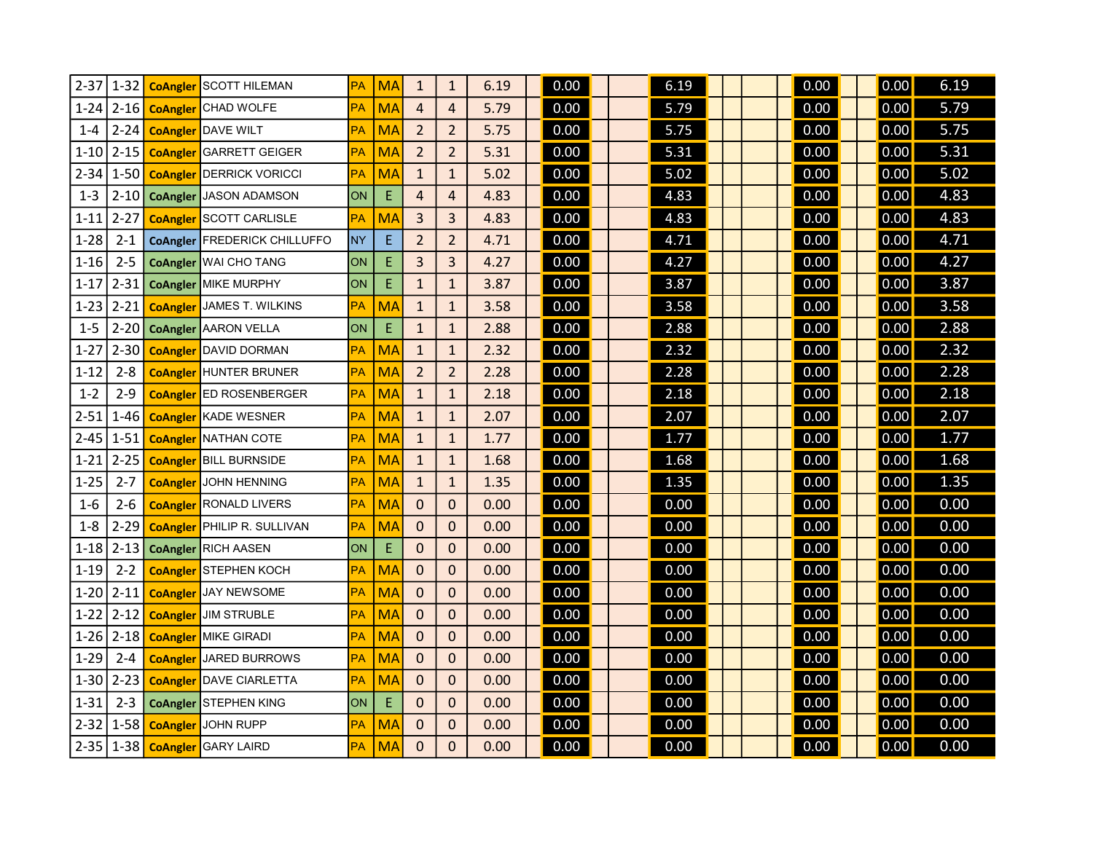| $2 - 37$ | $1 - 32$ | <b>CoAngler</b> | SCOTT HILEMAN                | РA        | <b>MA</b> | $\mathbf{1}$   | $\mathbf{1}$   | 6.19 | 0.00 | 6.19 | 0.00 | 0.00           | 6.19 |
|----------|----------|-----------------|------------------------------|-----------|-----------|----------------|----------------|------|------|------|------|----------------|------|
| $1 - 24$ | $2 - 16$ | <b>CoAngler</b> | <b>CHAD WOLFE</b>            | PA        | <b>MA</b> | $\overline{4}$ | $\overline{4}$ | 5.79 | 0.00 | 5.79 | 0.00 | 0.00           | 5.79 |
| $1 - 4$  | $2 - 24$ | <b>CoAngler</b> | <b>DAVE WILT</b>             | РA        | <b>MA</b> | $\overline{2}$ | $\overline{2}$ | 5.75 | 0.00 | 5.75 | 0.00 | 0.00           | 5.75 |
| $1 - 10$ | $2 - 15$ | <b>CoAngler</b> | <b>GARRETT GEIGER</b>        | PA        | <b>MA</b> | $\overline{2}$ | $\overline{2}$ | 5.31 | 0.00 | 5.31 | 0.00 | 0.00           | 5.31 |
| $2 - 34$ | $1-50$   | <b>CoAngler</b> | DERRICK VORICCI              | <b>PA</b> | <b>MA</b> | $\mathbf{1}$   | $\mathbf{1}$   | 5.02 | 0.00 | 5.02 | 0.00 | 0.00           | 5.02 |
| $1 - 3$  | $2 - 10$ | <b>CoAngler</b> | JASON ADAMSON                | ON        | E         | $\overline{4}$ | 4              | 4.83 | 0.00 | 4.83 | 0.00 | 0.00           | 4.83 |
| $1 - 11$ | $2 - 27$ | <b>CoAngler</b> | <b>SCOTT CARLISLE</b>        | <b>PA</b> | <b>MA</b> | 3              | 3              | 4.83 | 0.00 | 4.83 | 0.00 | $\boxed{0.00}$ | 4.83 |
| $1 - 28$ | $2 - 1$  | <b>CoAngler</b> | FREDERICK CHILLUFFO          | <b>NY</b> | E         | $\overline{2}$ | $\overline{2}$ | 4.71 | 0.00 | 4.71 | 0.00 | 0.00           | 4.71 |
| $1 - 16$ | $2 - 5$  | <b>CoAngler</b> | <b>WAI CHO TANG</b>          | ON        | Е         | 3              | 3              | 4.27 | 0.00 | 4.27 | 0.00 | 0.00           | 4.27 |
| $1 - 17$ | $2 - 31$ | <b>CoAngler</b> | MIKE MURPHY                  | ON        | E         | $\mathbf{1}$   | $\mathbf{1}$   | 3.87 | 0.00 | 3.87 | 0.00 | 0.00           | 3.87 |
| $1 - 23$ | $2 - 21$ | <b>CoAngler</b> | <b>JAMES T. WILKINS</b>      | PA        | <b>MA</b> | $\mathbf{1}$   | $\mathbf{1}$   | 3.58 | 0.00 | 3.58 | 0.00 | 0.00           | 3.58 |
| $1 - 5$  | $2 - 20$ | <b>CoAngler</b> | AARON VELLA                  | ON        | E         | $\mathbf{1}$   | $\mathbf{1}$   | 2.88 | 0.00 | 2.88 | 0.00 | 0.00           | 2.88 |
| $1 - 27$ | $2 - 30$ | <b>CoAngler</b> | DAVID DORMAN                 | РA        | <b>MA</b> | $\mathbf{1}$   | $\mathbf{1}$   | 2.32 | 0.00 | 2.32 | 0.00 | 0.00           | 2.32 |
| $1 - 12$ | $2 - 8$  | <b>CoAngler</b> | HUNTER BRUNER                | <b>PA</b> | <b>MA</b> | $\overline{2}$ | $\overline{2}$ | 2.28 | 0.00 | 2.28 | 0.00 | 0.00           | 2.28 |
| $1 - 2$  | $2 - 9$  | <b>CoAngler</b> | ED ROSENBERGER               | РA        | <b>MA</b> | $\mathbf{1}$   | $\mathbf{1}$   | 2.18 | 0.00 | 2.18 | 0.00 | 0.00           | 2.18 |
| $2 - 51$ | 1-46     | <b>CoAngler</b> | <b>KADE WESNER</b>           | PA        | <b>MA</b> | $\mathbf{1}$   | $\mathbf{1}$   | 2.07 | 0.00 | 2.07 | 0.00 | 0.00           | 2.07 |
| $2 - 45$ | $1 - 51$ | <b>CoAngler</b> | <b>NATHAN COTE</b>           | PA        | <b>MA</b> | $\mathbf{1}$   | $\mathbf{1}$   | 1.77 | 0.00 | 1.77 | 0.00 | 0.00           | 1.77 |
| $1 - 21$ | $2 - 25$ | <b>CoAngler</b> | <b>BILL BURNSIDE</b>         | PA        | <b>MA</b> | $\mathbf{1}$   | $\mathbf{1}$   | 1.68 | 0.00 | 1.68 | 0.00 | 0.00           | 1.68 |
| $1 - 25$ | $2 - 7$  | <b>CoAngler</b> | <b>JOHN HENNING</b>          | PA        | <b>MA</b> | $\mathbf{1}$   | $\mathbf{1}$   | 1.35 | 0.00 | 1.35 | 0.00 | 0.00           | 1.35 |
| $1-6$    | $2 - 6$  | <b>CoAngler</b> | <b>RONALD LIVERS</b>         | PA        | <b>MA</b> | $\pmb{0}$      | $\mathbf{0}$   | 0.00 | 0.00 | 0.00 | 0.00 | 0.00           | 0.00 |
| $1 - 8$  | $2 - 29$ | <b>CoAngler</b> | PHILIP R. SULLIVAN           | PA        | <b>MA</b> | $\mathbf 0$    | 0              | 0.00 | 0.00 | 0.00 | 0.00 | 0.00           | 0.00 |
| $1 - 18$ | $2 - 13$ | <b>CoAngler</b> | RICH AASEN                   | ON        | E         | $\mathbf 0$    | $\mathbf{0}$   | 0.00 | 0.00 | 0.00 | 0.00 | 0.00           | 0.00 |
| $1 - 19$ | $2 - 2$  | <b>CoAngler</b> | STEPHEN KOCH                 | РA        | <b>MA</b> | $\mathbf 0$    | 0              | 0.00 | 0.00 | 0.00 | 0.00 | 0.00           | 0.00 |
| $1 - 20$ | $2 - 11$ | <b>CoAngler</b> | <b>JAY NEWSOME</b>           | PA        | <b>MA</b> | $\mathbf 0$    | $\mathbf{0}$   | 0.00 | 0.00 | 0.00 | 0.00 | 0.00           | 0.00 |
| $1 - 22$ | $2 - 12$ | <b>CoAngler</b> | <b>JIM STRUBLE</b>           | РA        | <b>MA</b> | $\mathbf 0$    | $\mathbf{0}$   | 0.00 | 0.00 | 0.00 | 0.00 | 0.00           | 0.00 |
| $1 - 26$ | $2 - 18$ | <b>CoAngler</b> | MIKE GIRADI                  | <b>PA</b> | <b>MA</b> | $\pmb{0}$      | 0              | 0.00 | 0.00 | 0.00 | 0.00 | 0.00           | 0.00 |
| $1 - 29$ | $2 - 4$  | <b>CoAngler</b> | <b>JARED BURROWS</b>         | PA        | <b>MA</b> | $\Omega$       | $\Omega$       | 0.00 | 0.00 | 0.00 | 0.00 | 0.00           | 0.00 |
| 1-30     | $2 - 23$ | <b>CoAngler</b> | DAVE CIARLETTA               | РA        | <b>MA</b> | $\mathbf 0$    | 0              | 0.00 | 0.00 | 0.00 | 0.00 | 0.00           | 0.00 |
| $1 - 31$ | $2 - 3$  |                 | <b>CoAngler STEPHEN KING</b> | ON        | Ε         | $\pmb{0}$      | $\mathbf 0$    | 0.00 | 0.00 | 0.00 | 0.00 | 0.00           | 0.00 |
| $2 - 32$ | $1 - 58$ | <b>CoAngler</b> | <b>JOHN RUPP</b>             | РA        | MA        | $\pmb{0}$      | $\mathbf{0}$   | 0.00 | 0.00 | 0.00 | 0.00 | 0.00           | 0.00 |
| $2 - 35$ | $1 - 38$ | <b>CoAngler</b> | <b>GARY LAIRD</b>            | <b>PA</b> | <b>MA</b> | $\mathbf 0$    | 0              | 0.00 | 0.00 | 0.00 | 0.00 | 0.00           | 0.00 |